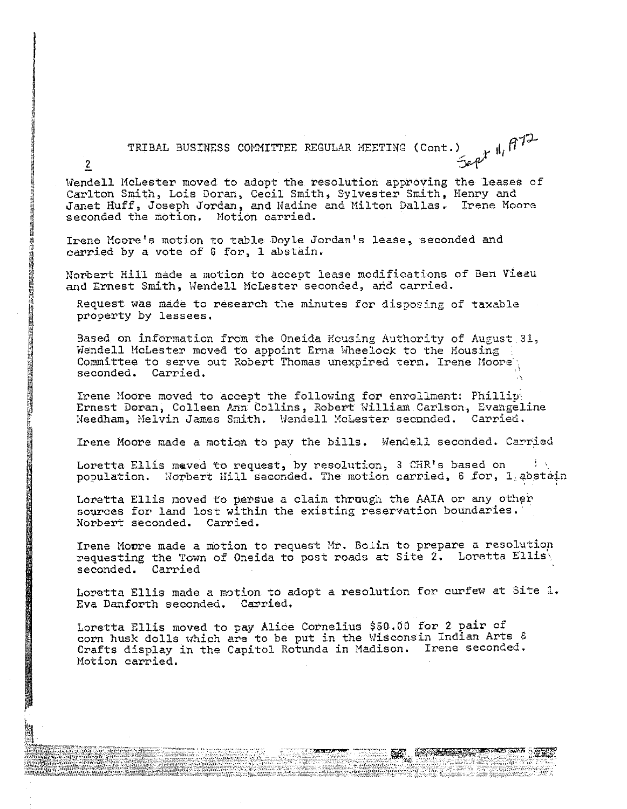TRIBAL BUSINESS COMMITTEE REGULAR MEETING (Cont.)  $\downarrow$   $\parallel$ ,  $\uparrow$   $\uparrow$ 

Wendell McLester moved to adopt the resolution approving the leases of Carlton Smith, Lois Doran, Cecil Smith, Sylvester Smith, Henry and Janet Huff, Joseph Jordan, and lfadine and Hilton Dallas, **Irene Moore**  seconded the motion. Hotion carried.

Irene Moore's motion to table Doyle Jordan's lease, seconded and carried by a vote of 6 for, 1 abstain.

**Alta Cartana** 

2

í

Norbert Hill made a motion to accept lease modifications of Ben Vieau and Ernest Smith, Wendell McLester<sup>seconded, and carried.</sup>

Request was made to research the minutes for disposing of taxable property by lessees,

Based on information from the Oneida Housing Authority of Auzust. 31, Wendell McLester moved to appoint Erna Wheelock to the Housing Committee to serve out Robert Thomas unexpired term. Irene Moore seconded. Carried.

Irene Moore moved to accept the following for enrollment: Phillip! Ernest Doran, Colleen Ann Collins, Robert William Carlson, Evangeline Needham, Melvin James Smith. Wendell MoLester seconded. Carried.

Irene Moore made a motion to pay the bills. Wendell seconded. Carried

Loretta Ellis maved to request, by resolution, 3 CHR's based on population. Norbert Hill seconded. The motion carried, 6 for, 1 abstain

Loretta Ellis moved to persue a claim through the MIA or any other sources for land lost within the existing reservation boundaries. Norbert seconded. Carried.

Irene Moore made a motion to request Mr. Bolin to prepare a resolution requesting the Town of Oneida to post roads at Site  $2$ . Loretta Ellis\ seconded. Carried

Loretta Ellis made a motion to adopt a resolution for curfew at Site 1. Eva Danforth seconded. Carried.

Loretta Ellis moved to pay Alice Cornelius \$50.00 for 2 pair of corn husk dolls which are to be put in the Wisconsin Indian Arts & Crafts display in the Capitol Rotunda in Madison. Irene seconded. Motion carried.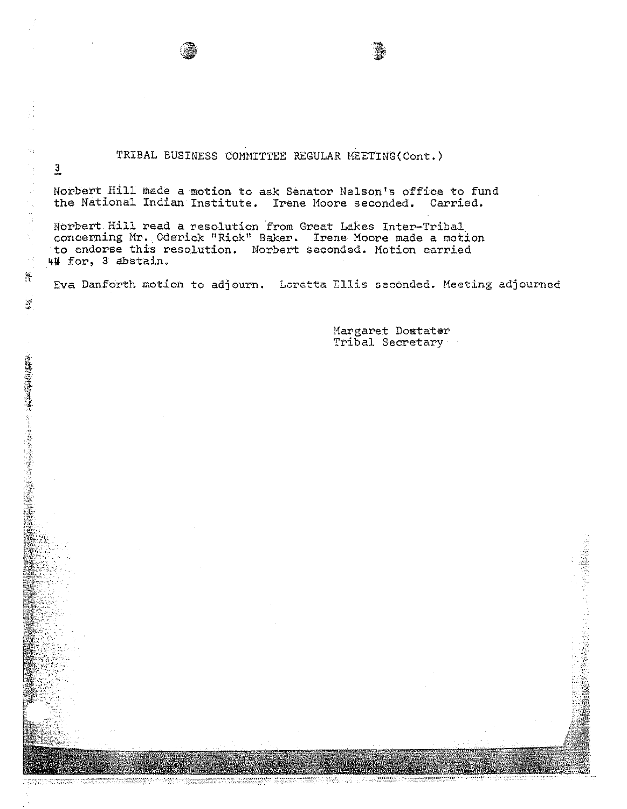## TRIBAL BUSINESS COMMITTEE REGULAR MEETING(Cont.)

 $-1.4999$ 'ffW

Ñ,

÷,

 $\frac{1}{2}$ 

 $\mathbf{S}$ 

 $\overline{\mathbf{3}}$ 

Norbert Hill made a motion to ask Senator Nelson's office to fund the National Indian Institute. Irene Moore seconded. Carried.

Norbert Hill read a resolution from Great Lakes Inter-Tribal concerning Mr. Oderick "Rick" Baker. Irene Moore made a motion to endorse this resolution. Norbert seconded. Motion carried 4# for, 3 abstain.

Eva Danforth motion to adjourn. Loretta Ellis seconded. Heeting adjourned

Margaret Doxtater Tribal Secretary

ie<br>Brit